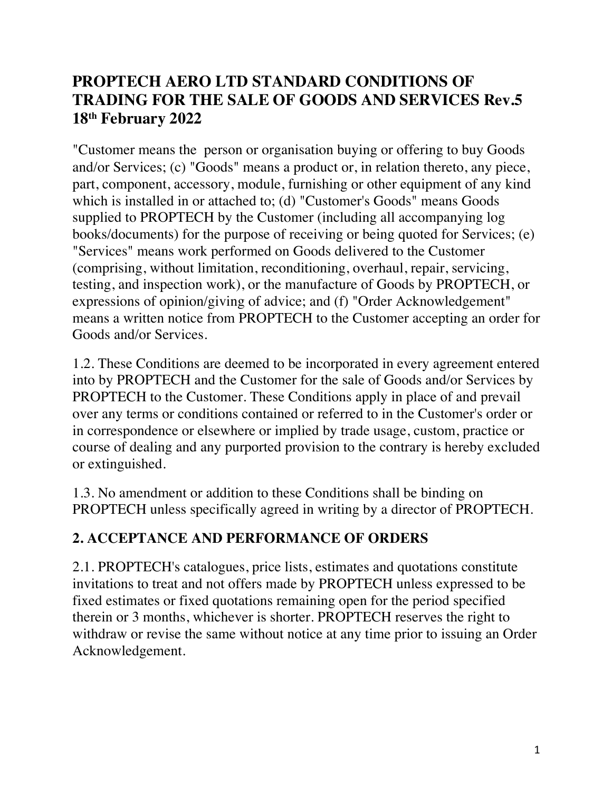### **PROPTECH AERO LTD STANDARD CONDITIONS OF TRADING FOR THE SALE OF GOODS AND SERVICES Rev.5 18th February 2022**

"Customer means the person or organisation buying or offering to buy Goods and/or Services; (c) "Goods" means a product or, in relation thereto, any piece, part, component, accessory, module, furnishing or other equipment of any kind which is installed in or attached to; (d) "Customer's Goods" means Goods supplied to PROPTECH by the Customer (including all accompanying log books/documents) for the purpose of receiving or being quoted for Services; (e) "Services" means work performed on Goods delivered to the Customer (comprising, without limitation, reconditioning, overhaul, repair, servicing, testing, and inspection work), or the manufacture of Goods by PROPTECH, or expressions of opinion/giving of advice; and (f) "Order Acknowledgement" means a written notice from PROPTECH to the Customer accepting an order for Goods and/or Services.

1.2. These Conditions are deemed to be incorporated in every agreement entered into by PROPTECH and the Customer for the sale of Goods and/or Services by PROPTECH to the Customer. These Conditions apply in place of and prevail over any terms or conditions contained or referred to in the Customer's order or in correspondence or elsewhere or implied by trade usage, custom, practice or course of dealing and any purported provision to the contrary is hereby excluded or extinguished.

1.3. No amendment or addition to these Conditions shall be binding on PROPTECH unless specifically agreed in writing by a director of PROPTECH.

#### **2. ACCEPTANCE AND PERFORMANCE OF ORDERS**

2.1. PROPTECH's catalogues, price lists, estimates and quotations constitute invitations to treat and not offers made by PROPTECH unless expressed to be fixed estimates or fixed quotations remaining open for the period specified therein or 3 months, whichever is shorter. PROPTECH reserves the right to withdraw or revise the same without notice at any time prior to issuing an Order Acknowledgement.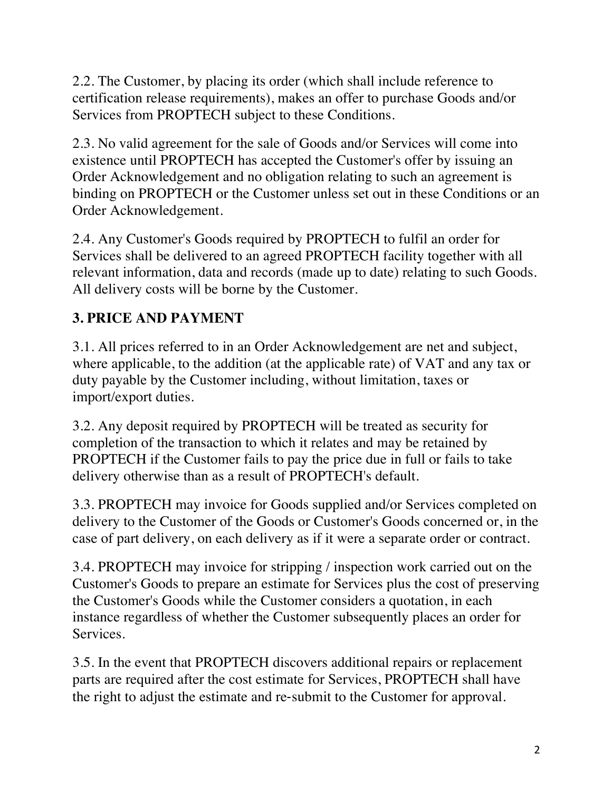2.2. The Customer, by placing its order (which shall include reference to certification release requirements), makes an offer to purchase Goods and/or Services from PROPTECH subject to these Conditions.

2.3. No valid agreement for the sale of Goods and/or Services will come into existence until PROPTECH has accepted the Customer's offer by issuing an Order Acknowledgement and no obligation relating to such an agreement is binding on PROPTECH or the Customer unless set out in these Conditions or an Order Acknowledgement.

2.4. Any Customer's Goods required by PROPTECH to fulfil an order for Services shall be delivered to an agreed PROPTECH facility together with all relevant information, data and records (made up to date) relating to such Goods. All delivery costs will be borne by the Customer.

# **3. PRICE AND PAYMENT**

3.1. All prices referred to in an Order Acknowledgement are net and subject, where applicable, to the addition (at the applicable rate) of VAT and any tax or duty payable by the Customer including, without limitation, taxes or import/export duties.

3.2. Any deposit required by PROPTECH will be treated as security for completion of the transaction to which it relates and may be retained by PROPTECH if the Customer fails to pay the price due in full or fails to take delivery otherwise than as a result of PROPTECH's default.

3.3. PROPTECH may invoice for Goods supplied and/or Services completed on delivery to the Customer of the Goods or Customer's Goods concerned or, in the case of part delivery, on each delivery as if it were a separate order or contract.

3.4. PROPTECH may invoice for stripping / inspection work carried out on the Customer's Goods to prepare an estimate for Services plus the cost of preserving the Customer's Goods while the Customer considers a quotation, in each instance regardless of whether the Customer subsequently places an order for Services.

3.5. In the event that PROPTECH discovers additional repairs or replacement parts are required after the cost estimate for Services, PROPTECH shall have the right to adjust the estimate and re-submit to the Customer for approval.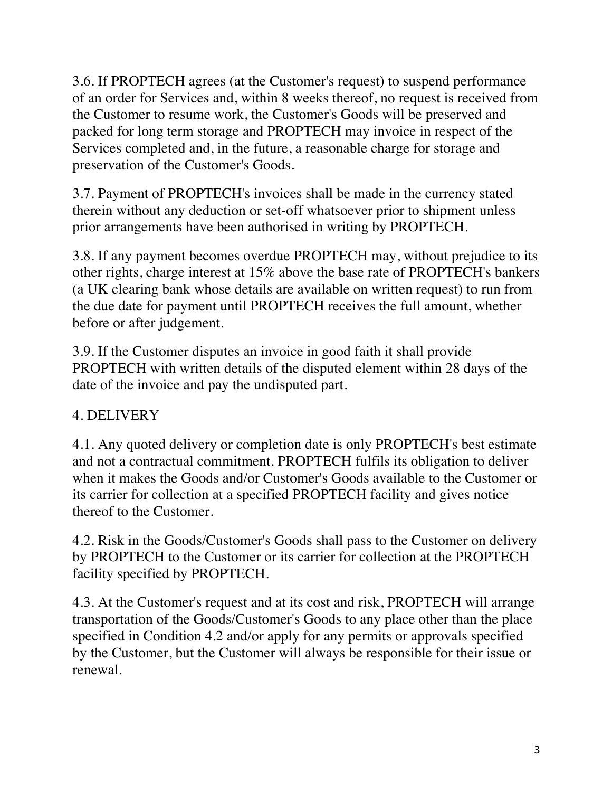3.6. If PROPTECH agrees (at the Customer's request) to suspend performance of an order for Services and, within 8 weeks thereof, no request is received from the Customer to resume work, the Customer's Goods will be preserved and packed for long term storage and PROPTECH may invoice in respect of the Services completed and, in the future, a reasonable charge for storage and preservation of the Customer's Goods.

3.7. Payment of PROPTECH's invoices shall be made in the currency stated therein without any deduction or set-off whatsoever prior to shipment unless prior arrangements have been authorised in writing by PROPTECH.

3.8. If any payment becomes overdue PROPTECH may, without prejudice to its other rights, charge interest at 15% above the base rate of PROPTECH's bankers (a UK clearing bank whose details are available on written request) to run from the due date for payment until PROPTECH receives the full amount, whether before or after judgement.

3.9. If the Customer disputes an invoice in good faith it shall provide PROPTECH with written details of the disputed element within 28 days of the date of the invoice and pay the undisputed part.

## 4. DELIVERY

4.1. Any quoted delivery or completion date is only PROPTECH's best estimate and not a contractual commitment. PROPTECH fulfils its obligation to deliver when it makes the Goods and/or Customer's Goods available to the Customer or its carrier for collection at a specified PROPTECH facility and gives notice thereof to the Customer.

4.2. Risk in the Goods/Customer's Goods shall pass to the Customer on delivery by PROPTECH to the Customer or its carrier for collection at the PROPTECH facility specified by PROPTECH.

4.3. At the Customer's request and at its cost and risk, PROPTECH will arrange transportation of the Goods/Customer's Goods to any place other than the place specified in Condition 4.2 and/or apply for any permits or approvals specified by the Customer, but the Customer will always be responsible for their issue or renewal.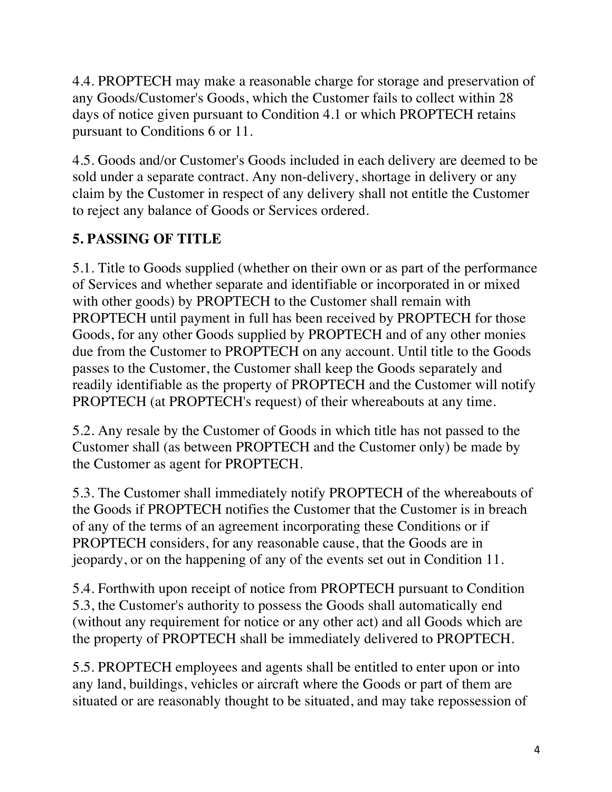4.4. PROPTECH may make a reasonable charge for storage and preservation of any Goods/Customer's Goods, which the Customer fails to collect within 28 days of notice given pursuant to Condition 4.1 or which PROPTECH retains pursuant to Conditions 6 or 11.

4.5. Goods and/or Customer's Goods included in each delivery are deemed to be sold under a separate contract. Any non-delivery, shortage in delivery or any claim by the Customer in respect of any delivery shall not entitle the Customer to reject any balance of Goods or Services ordered.

## **5. PASSING OF TITLE**

5.1. Title to Goods supplied (whether on their own or as part of the performance of Services and whether separate and identifiable or incorporated in or mixed with other goods) by PROPTECH to the Customer shall remain with PROPTECH until payment in full has been received by PROPTECH for those Goods, for any other Goods supplied by PROPTECH and of any other monies due from the Customer to PROPTECH on any account. Until title to the Goods passes to the Customer, the Customer shall keep the Goods separately and readily identifiable as the property of PROPTECH and the Customer will notify PROPTECH (at PROPTECH's request) of their whereabouts at any time.

5.2. Any resale by the Customer of Goods in which title has not passed to the Customer shall (as between PROPTECH and the Customer only) be made by the Customer as agent for PROPTECH.

5.3. The Customer shall immediately notify PROPTECH of the whereabouts of the Goods if PROPTECH notifies the Customer that the Customer is in breach of any of the terms of an agreement incorporating these Conditions or if PROPTECH considers, for any reasonable cause, that the Goods are in jeopardy, or on the happening of any of the events set out in Condition 11.

5.4. Forthwith upon receipt of notice from PROPTECH pursuant to Condition 5.3, the Customer's authority to possess the Goods shall automatically end (without any requirement for notice or any other act) and all Goods which are the property of PROPTECH shall be immediately delivered to PROPTECH.

5.5. PROPTECH employees and agents shall be entitled to enter upon or into any land, buildings, vehicles or aircraft where the Goods or part of them are situated or are reasonably thought to be situated, and may take repossession of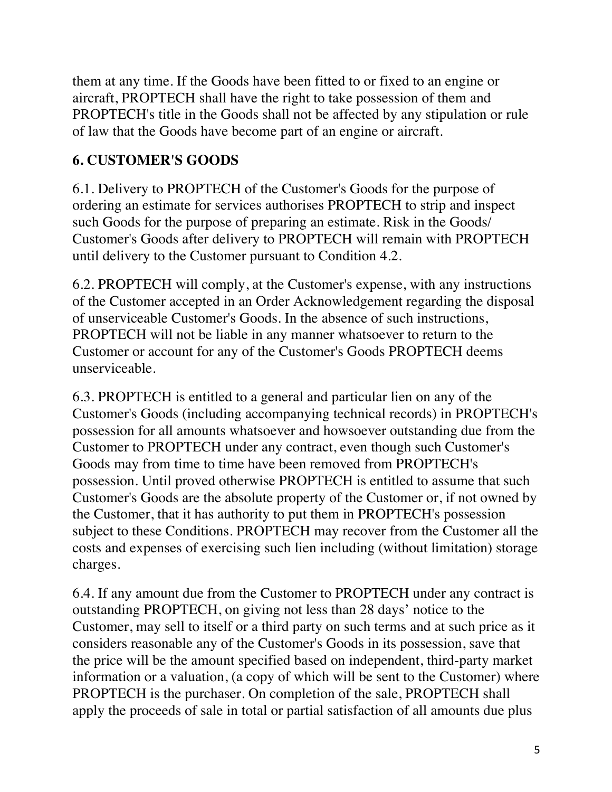them at any time. If the Goods have been fitted to or fixed to an engine or aircraft, PROPTECH shall have the right to take possession of them and PROPTECH's title in the Goods shall not be affected by any stipulation or rule of law that the Goods have become part of an engine or aircraft.

#### **6. CUSTOMER'S GOODS**

6.1. Delivery to PROPTECH of the Customer's Goods for the purpose of ordering an estimate for services authorises PROPTECH to strip and inspect such Goods for the purpose of preparing an estimate. Risk in the Goods/ Customer's Goods after delivery to PROPTECH will remain with PROPTECH until delivery to the Customer pursuant to Condition 4.2.

6.2. PROPTECH will comply, at the Customer's expense, with any instructions of the Customer accepted in an Order Acknowledgement regarding the disposal of unserviceable Customer's Goods. In the absence of such instructions, PROPTECH will not be liable in any manner whatsoever to return to the Customer or account for any of the Customer's Goods PROPTECH deems unserviceable.

6.3. PROPTECH is entitled to a general and particular lien on any of the Customer's Goods (including accompanying technical records) in PROPTECH's possession for all amounts whatsoever and howsoever outstanding due from the Customer to PROPTECH under any contract, even though such Customer's Goods may from time to time have been removed from PROPTECH's possession. Until proved otherwise PROPTECH is entitled to assume that such Customer's Goods are the absolute property of the Customer or, if not owned by the Customer, that it has authority to put them in PROPTECH's possession subject to these Conditions. PROPTECH may recover from the Customer all the costs and expenses of exercising such lien including (without limitation) storage charges.

6.4. If any amount due from the Customer to PROPTECH under any contract is outstanding PROPTECH, on giving not less than 28 days' notice to the Customer, may sell to itself or a third party on such terms and at such price as it considers reasonable any of the Customer's Goods in its possession, save that the price will be the amount specified based on independent, third-party market information or a valuation, (a copy of which will be sent to the Customer) where PROPTECH is the purchaser. On completion of the sale, PROPTECH shall apply the proceeds of sale in total or partial satisfaction of all amounts due plus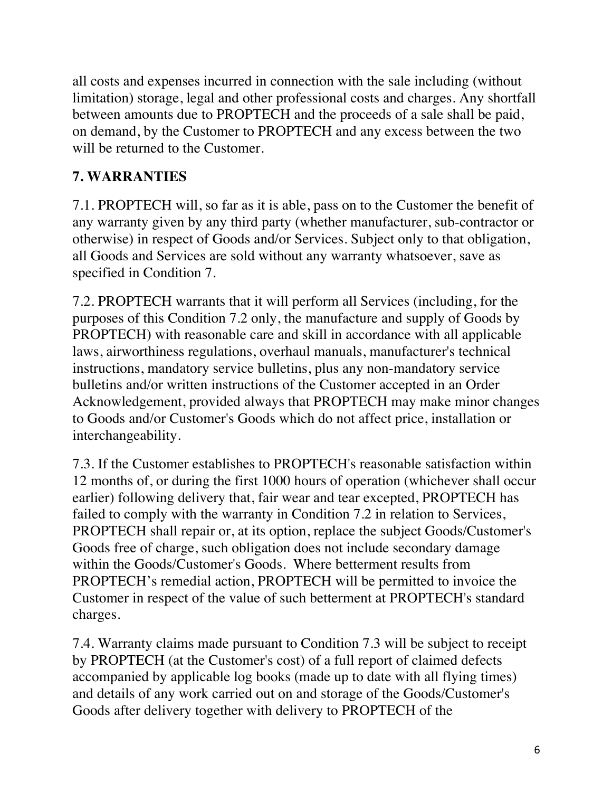all costs and expenses incurred in connection with the sale including (without limitation) storage, legal and other professional costs and charges. Any shortfall between amounts due to PROPTECH and the proceeds of a sale shall be paid, on demand, by the Customer to PROPTECH and any excess between the two will be returned to the Customer.

### **7. WARRANTIES**

7.1. PROPTECH will, so far as it is able, pass on to the Customer the benefit of any warranty given by any third party (whether manufacturer, sub-contractor or otherwise) in respect of Goods and/or Services. Subject only to that obligation, all Goods and Services are sold without any warranty whatsoever, save as specified in Condition 7.

7.2. PROPTECH warrants that it will perform all Services (including, for the purposes of this Condition 7.2 only, the manufacture and supply of Goods by PROPTECH) with reasonable care and skill in accordance with all applicable laws, airworthiness regulations, overhaul manuals, manufacturer's technical instructions, mandatory service bulletins, plus any non-mandatory service bulletins and/or written instructions of the Customer accepted in an Order Acknowledgement, provided always that PROPTECH may make minor changes to Goods and/or Customer's Goods which do not affect price, installation or interchangeability.

7.3. If the Customer establishes to PROPTECH's reasonable satisfaction within 12 months of, or during the first 1000 hours of operation (whichever shall occur earlier) following delivery that, fair wear and tear excepted, PROPTECH has failed to comply with the warranty in Condition 7.2 in relation to Services, PROPTECH shall repair or, at its option, replace the subject Goods/Customer's Goods free of charge, such obligation does not include secondary damage within the Goods/Customer's Goods. Where betterment results from PROPTECH's remedial action, PROPTECH will be permitted to invoice the Customer in respect of the value of such betterment at PROPTECH's standard charges.

7.4. Warranty claims made pursuant to Condition 7.3 will be subject to receipt by PROPTECH (at the Customer's cost) of a full report of claimed defects accompanied by applicable log books (made up to date with all flying times) and details of any work carried out on and storage of the Goods/Customer's Goods after delivery together with delivery to PROPTECH of the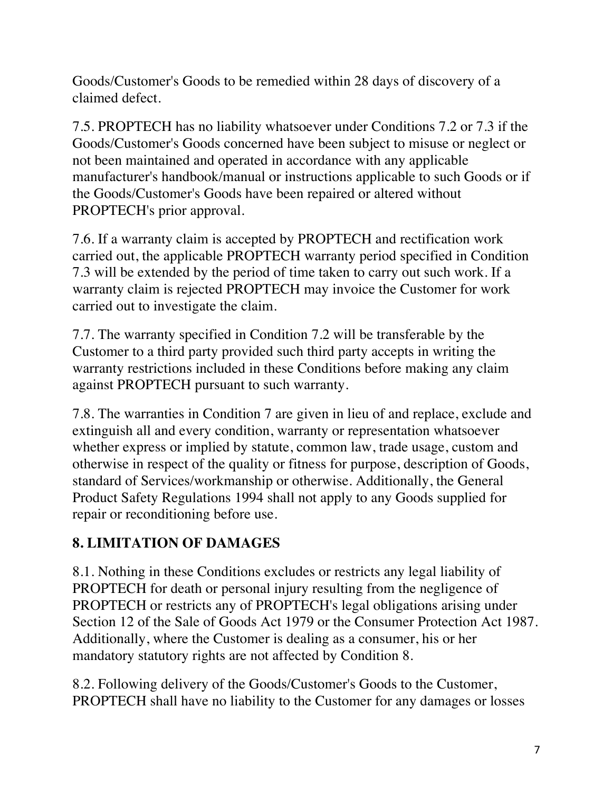Goods/Customer's Goods to be remedied within 28 days of discovery of a claimed defect.

7.5. PROPTECH has no liability whatsoever under Conditions 7.2 or 7.3 if the Goods/Customer's Goods concerned have been subject to misuse or neglect or not been maintained and operated in accordance with any applicable manufacturer's handbook/manual or instructions applicable to such Goods or if the Goods/Customer's Goods have been repaired or altered without PROPTECH's prior approval.

7.6. If a warranty claim is accepted by PROPTECH and rectification work carried out, the applicable PROPTECH warranty period specified in Condition 7.3 will be extended by the period of time taken to carry out such work. If a warranty claim is rejected PROPTECH may invoice the Customer for work carried out to investigate the claim.

7.7. The warranty specified in Condition 7.2 will be transferable by the Customer to a third party provided such third party accepts in writing the warranty restrictions included in these Conditions before making any claim against PROPTECH pursuant to such warranty.

7.8. The warranties in Condition 7 are given in lieu of and replace, exclude and extinguish all and every condition, warranty or representation whatsoever whether express or implied by statute, common law, trade usage, custom and otherwise in respect of the quality or fitness for purpose, description of Goods, standard of Services/workmanship or otherwise. Additionally, the General Product Safety Regulations 1994 shall not apply to any Goods supplied for repair or reconditioning before use.

## **8. LIMITATION OF DAMAGES**

8.1. Nothing in these Conditions excludes or restricts any legal liability of PROPTECH for death or personal injury resulting from the negligence of PROPTECH or restricts any of PROPTECH's legal obligations arising under Section 12 of the Sale of Goods Act 1979 or the Consumer Protection Act 1987. Additionally, where the Customer is dealing as a consumer, his or her mandatory statutory rights are not affected by Condition 8.

8.2. Following delivery of the Goods/Customer's Goods to the Customer, PROPTECH shall have no liability to the Customer for any damages or losses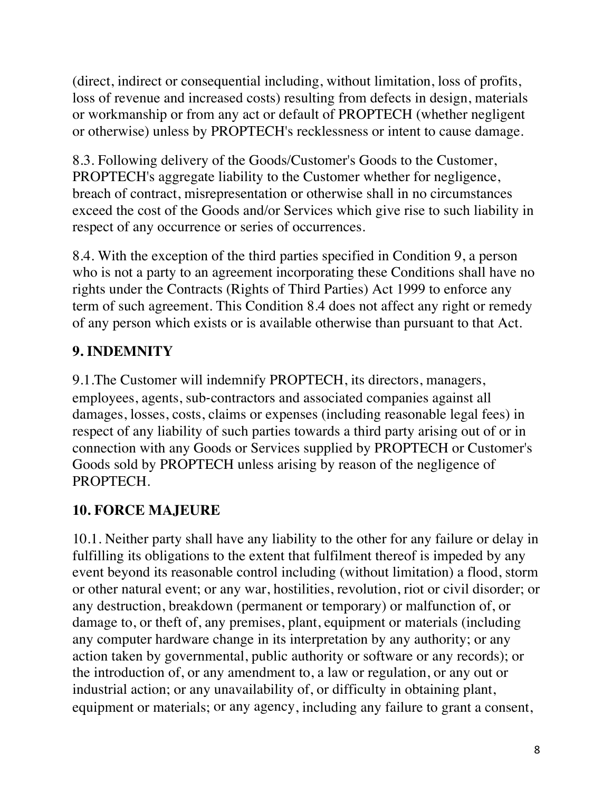(direct, indirect or consequential including, without limitation, loss of profits, loss of revenue and increased costs) resulting from defects in design, materials or workmanship or from any act or default of PROPTECH (whether negligent or otherwise) unless by PROPTECH's recklessness or intent to cause damage.

8.3. Following delivery of the Goods/Customer's Goods to the Customer, PROPTECH's aggregate liability to the Customer whether for negligence, breach of contract, misrepresentation or otherwise shall in no circumstances exceed the cost of the Goods and/or Services which give rise to such liability in respect of any occurrence or series of occurrences.

8.4. With the exception of the third parties specified in Condition 9, a person who is not a party to an agreement incorporating these Conditions shall have no rights under the Contracts (Rights of Third Parties) Act 1999 to enforce any term of such agreement. This Condition 8.4 does not affect any right or remedy of any person which exists or is available otherwise than pursuant to that Act.

# **9. INDEMNITY**

9.1.The Customer will indemnify PROPTECH, its directors, managers, employees, agents, sub-contractors and associated companies against all damages, losses, costs, claims or expenses (including reasonable legal fees) in respect of any liability of such parties towards a third party arising out of or in connection with any Goods or Services supplied by PROPTECH or Customer's Goods sold by PROPTECH unless arising by reason of the negligence of PROPTECH.

## **10. FORCE MAJEURE**

10.1. Neither party shall have any liability to the other for any failure or delay in fulfilling its obligations to the extent that fulfilment thereof is impeded by any event beyond its reasonable control including (without limitation) a flood, storm or other natural event; or any war, hostilities, revolution, riot or civil disorder; or any destruction, breakdown (permanent or temporary) or malfunction of, or damage to, or theft of, any premises, plant, equipment or materials (including any computer hardware change in its interpretation by any authority; or any action taken by governmental, public authority or software or any records); or the introduction of, or any amendment to, a law or regulation, or any out or industrial action; or any unavailability of, or difficulty in obtaining plant, equipment or materials; or any agency, including any failure to grant a consent,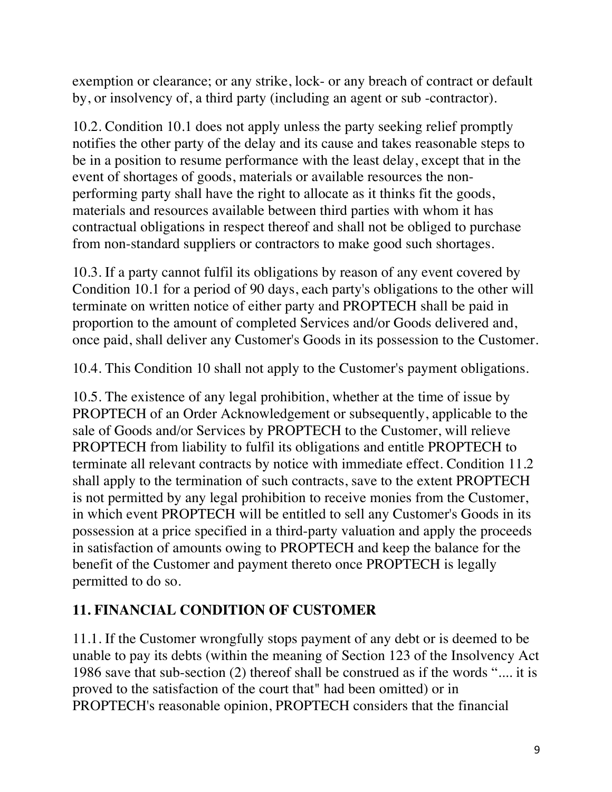exemption or clearance; or any strike, lock- or any breach of contract or default by, or insolvency of, a third party (including an agent or sub -contractor).

10.2. Condition 10.1 does not apply unless the party seeking relief promptly notifies the other party of the delay and its cause and takes reasonable steps to be in a position to resume performance with the least delay, except that in the event of shortages of goods, materials or available resources the nonperforming party shall have the right to allocate as it thinks fit the goods, materials and resources available between third parties with whom it has contractual obligations in respect thereof and shall not be obliged to purchase from non-standard suppliers or contractors to make good such shortages.

10.3. If a party cannot fulfil its obligations by reason of any event covered by Condition 10.1 for a period of 90 days, each party's obligations to the other will terminate on written notice of either party and PROPTECH shall be paid in proportion to the amount of completed Services and/or Goods delivered and, once paid, shall deliver any Customer's Goods in its possession to the Customer.

10.4. This Condition 10 shall not apply to the Customer's payment obligations.

10.5. The existence of any legal prohibition, whether at the time of issue by PROPTECH of an Order Acknowledgement or subsequently, applicable to the sale of Goods and/or Services by PROPTECH to the Customer, will relieve PROPTECH from liability to fulfil its obligations and entitle PROPTECH to terminate all relevant contracts by notice with immediate effect. Condition 11.2 shall apply to the termination of such contracts, save to the extent PROPTECH is not permitted by any legal prohibition to receive monies from the Customer, in which event PROPTECH will be entitled to sell any Customer's Goods in its possession at a price specified in a third-party valuation and apply the proceeds in satisfaction of amounts owing to PROPTECH and keep the balance for the benefit of the Customer and payment thereto once PROPTECH is legally permitted to do so.

#### **11. FINANCIAL CONDITION OF CUSTOMER**

11.1. If the Customer wrongfully stops payment of any debt or is deemed to be unable to pay its debts (within the meaning of Section 123 of the Insolvency Act 1986 save that sub-section (2) thereof shall be construed as if the words ".... it is proved to the satisfaction of the court that" had been omitted) or in PROPTECH's reasonable opinion, PROPTECH considers that the financial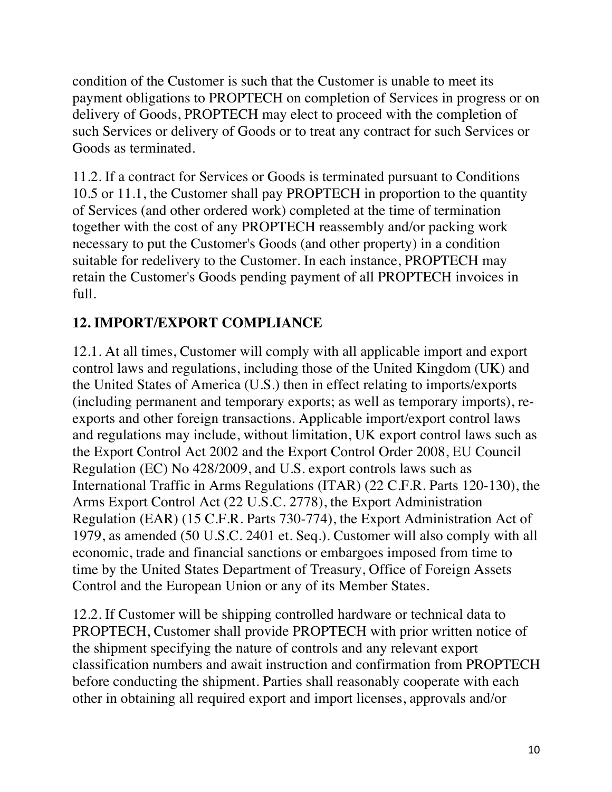condition of the Customer is such that the Customer is unable to meet its payment obligations to PROPTECH on completion of Services in progress or on delivery of Goods, PROPTECH may elect to proceed with the completion of such Services or delivery of Goods or to treat any contract for such Services or Goods as terminated.

11.2. If a contract for Services or Goods is terminated pursuant to Conditions 10.5 or 11.1, the Customer shall pay PROPTECH in proportion to the quantity of Services (and other ordered work) completed at the time of termination together with the cost of any PROPTECH reassembly and/or packing work necessary to put the Customer's Goods (and other property) in a condition suitable for redelivery to the Customer. In each instance, PROPTECH may retain the Customer's Goods pending payment of all PROPTECH invoices in full.

# **12. IMPORT/EXPORT COMPLIANCE**

12.1. At all times, Customer will comply with all applicable import and export control laws and regulations, including those of the United Kingdom (UK) and the United States of America (U.S.) then in effect relating to imports/exports (including permanent and temporary exports; as well as temporary imports), reexports and other foreign transactions. Applicable import/export control laws and regulations may include, without limitation, UK export control laws such as the Export Control Act 2002 and the Export Control Order 2008, EU Council Regulation (EC) No 428/2009, and U.S. export controls laws such as International Traffic in Arms Regulations (ITAR) (22 C.F.R. Parts 120-130), the Arms Export Control Act (22 U.S.C. 2778), the Export Administration Regulation (EAR) (15 C.F.R. Parts 730-774), the Export Administration Act of 1979, as amended (50 U.S.C. 2401 et. Seq.). Customer will also comply with all economic, trade and financial sanctions or embargoes imposed from time to time by the United States Department of Treasury, Office of Foreign Assets Control and the European Union or any of its Member States.

12.2. If Customer will be shipping controlled hardware or technical data to PROPTECH, Customer shall provide PROPTECH with prior written notice of the shipment specifying the nature of controls and any relevant export classification numbers and await instruction and confirmation from PROPTECH before conducting the shipment. Parties shall reasonably cooperate with each other in obtaining all required export and import licenses, approvals and/or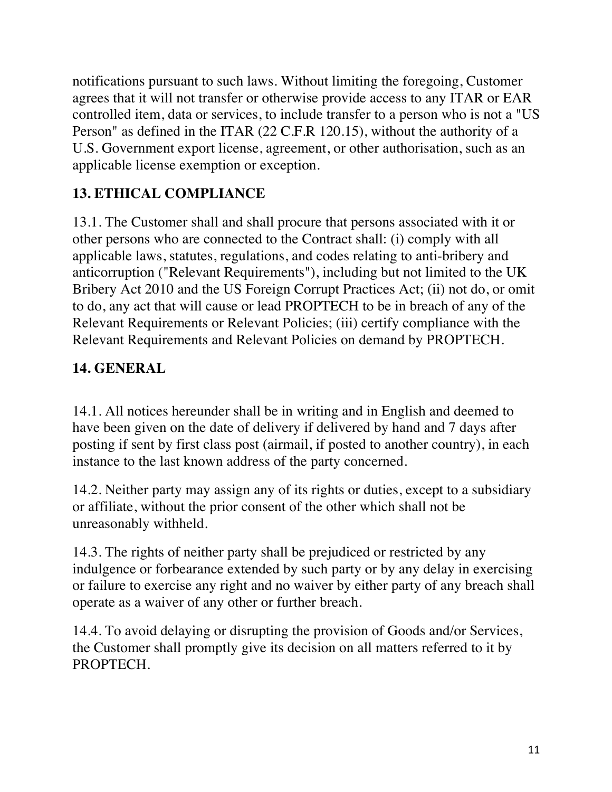notifications pursuant to such laws. Without limiting the foregoing, Customer agrees that it will not transfer or otherwise provide access to any ITAR or EAR controlled item, data or services, to include transfer to a person who is not a "US Person" as defined in the ITAR (22 C.F.R 120.15), without the authority of a U.S. Government export license, agreement, or other authorisation, such as an applicable license exemption or exception.

# **13. ETHICAL COMPLIANCE**

13.1. The Customer shall and shall procure that persons associated with it or other persons who are connected to the Contract shall: (i) comply with all applicable laws, statutes, regulations, and codes relating to anti-bribery and anticorruption ("Relevant Requirements"), including but not limited to the UK Bribery Act 2010 and the US Foreign Corrupt Practices Act; (ii) not do, or omit to do, any act that will cause or lead PROPTECH to be in breach of any of the Relevant Requirements or Relevant Policies; (iii) certify compliance with the Relevant Requirements and Relevant Policies on demand by PROPTECH.

### **14. GENERAL**

14.1. All notices hereunder shall be in writing and in English and deemed to have been given on the date of delivery if delivered by hand and 7 days after posting if sent by first class post (airmail, if posted to another country), in each instance to the last known address of the party concerned.

14.2. Neither party may assign any of its rights or duties, except to a subsidiary or affiliate, without the prior consent of the other which shall not be unreasonably withheld.

14.3. The rights of neither party shall be prejudiced or restricted by any indulgence or forbearance extended by such party or by any delay in exercising or failure to exercise any right and no waiver by either party of any breach shall operate as a waiver of any other or further breach.

14.4. To avoid delaying or disrupting the provision of Goods and/or Services, the Customer shall promptly give its decision on all matters referred to it by PROPTECH.